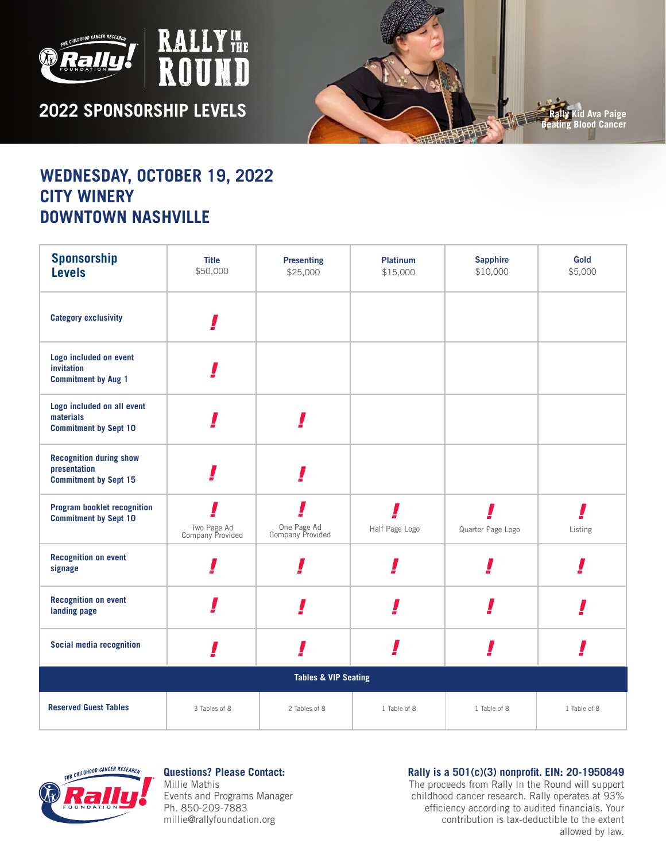

**2022 SPONSORSHIP LEVELS** 

T



## **WEDNESDAY, OCTOBER 19, 2022 CITY WINERY DOWNTOWN NASHVILLE**

| <b>Sponsorship</b><br><b>Levels</b>                                            | <b>Title</b><br>\$50,000        | <b>Presenting</b><br>\$25,000   | <b>Platinum</b><br>\$15,000 | <b>Sapphire</b><br>\$10,000 | Gold<br>\$5,000 |  |  |
|--------------------------------------------------------------------------------|---------------------------------|---------------------------------|-----------------------------|-----------------------------|-----------------|--|--|
| <b>Category exclusivity</b>                                                    |                                 |                                 |                             |                             |                 |  |  |
| Logo included on event<br>invitation<br><b>Commitment by Aug 1</b>             |                                 |                                 |                             |                             |                 |  |  |
| Logo included on all event<br>materials<br><b>Commitment by Sept 10</b>        |                                 |                                 |                             |                             |                 |  |  |
| <b>Recognition during show</b><br>presentation<br><b>Commitment by Sept 15</b> |                                 |                                 |                             |                             |                 |  |  |
| <b>Program booklet recognition</b><br><b>Commitment by Sept 10</b>             | Two Page Ad<br>Company Provided | One Page Ad<br>Company Provided | Half Page Logo              | Quarter Page Logo           | Listing         |  |  |
| <b>Recognition on event</b><br>signage                                         |                                 |                                 |                             |                             |                 |  |  |
| <b>Recognition on event</b><br>landing page                                    |                                 |                                 |                             |                             |                 |  |  |
| Social media recognition                                                       |                                 |                                 |                             |                             |                 |  |  |
| <b>Tables &amp; VIP Seating</b>                                                |                                 |                                 |                             |                             |                 |  |  |
| <b>Reserved Guest Tables</b>                                                   | 3 Tables of 8                   | 2 Tables of 8                   | 1 Table of 8                | 1 Table of 8                | 1 Table of 8    |  |  |



**Questions? Please Contact:** Millie Mathis Events and Programs Manager Ph. 850-209-7883 millie@rallyfoundation.org

**Rally is a 501(c)(3) nonprofit. EIN: 20-1950849**

The proceeds from Rally In the Round will support childhood cancer research. Rally operates at 93% efficiency according to audited financials. Your contribution is tax-deductible to the extent allowed by law.